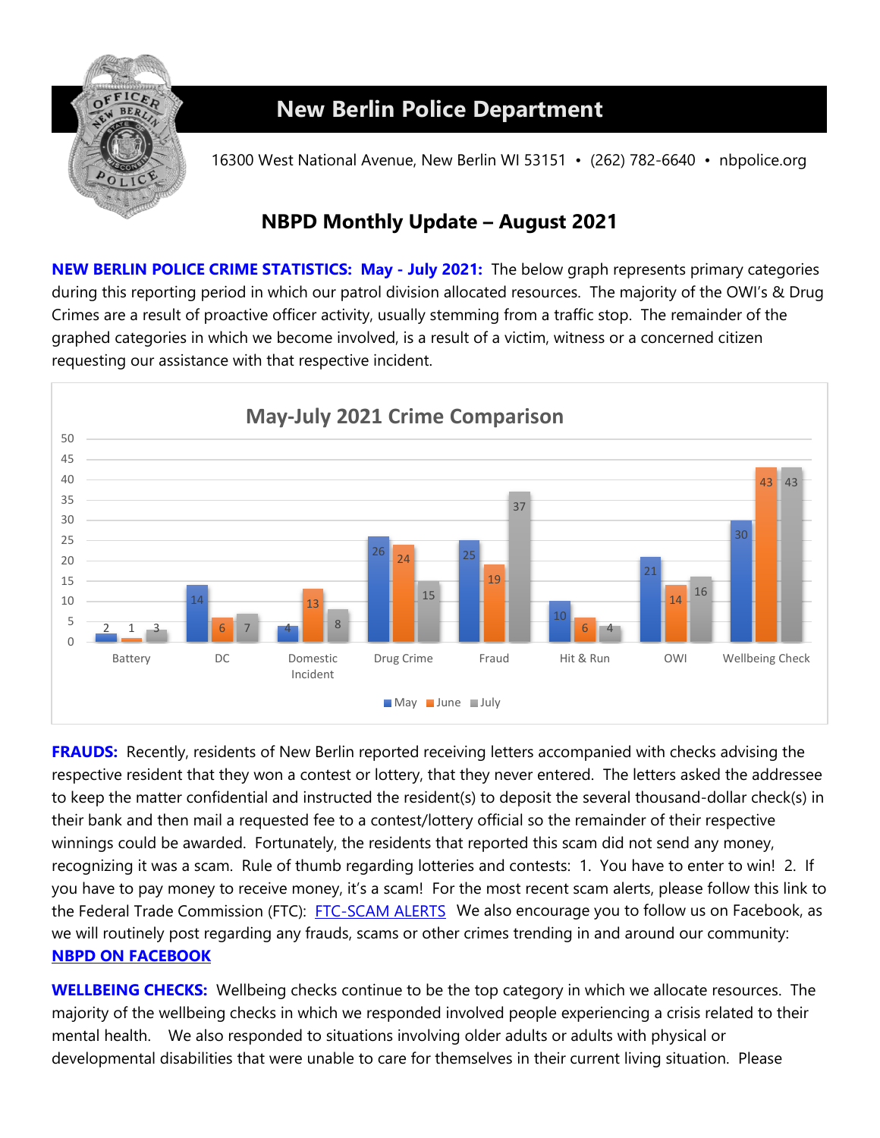

## **New Berlin Police Department**

16300 West National Avenue, New Berlin WI 53151 • (262) 782-6640 • nbpolice.org

## **NBPD Monthly Update – August 2021**

**NEW BERLIN POLICE CRIME STATISTICS: May - July 2021:** The below graph represents primary categories during this reporting period in which our patrol division allocated resources. The majority of the OWI's & Drug Crimes are a result of proactive officer activity, usually stemming from a traffic stop. The remainder of the graphed categories in which we become involved, is a result of a victim, witness or a concerned citizen requesting our assistance with that respective incident.



**FRAUDS:** Recently, residents of New Berlin reported receiving letters accompanied with checks advising the respective resident that they won a contest or lottery, that they never entered. The letters asked the addressee to keep the matter confidential and instructed the resident(s) to deposit the several thousand-dollar check(s) in their bank and then mail a requested fee to a contest/lottery official so the remainder of their respective winnings could be awarded. Fortunately, the residents that reported this scam did not send any money, recognizing it was a scam. Rule of thumb regarding lotteries and contests: 1. You have to enter to win! 2. If you have to pay money to receive money, it's a scam! For the most recent scam alerts, please follow this link to the Federal Trade Commission (FTC): [FTC-SCAM ALERTS](https://www.consumer.ftc.gov/features/scam-alerts) We also encourage you to follow us on Facebook, as we will routinely post regarding any frauds, scams or other crimes trending in and around our community: **[NBPD ON FACEBOOK](http://www.facebook.com/pages/New-Berlin-Police-Department/112811588818971)** 

**WELLBEING CHECKS:** Wellbeing checks continue to be the top category in which we allocate resources. The majority of the wellbeing checks in which we responded involved people experiencing a crisis related to their mental health. We also responded to situations involving older adults or adults with physical or developmental disabilities that were unable to care for themselves in their current living situation. Please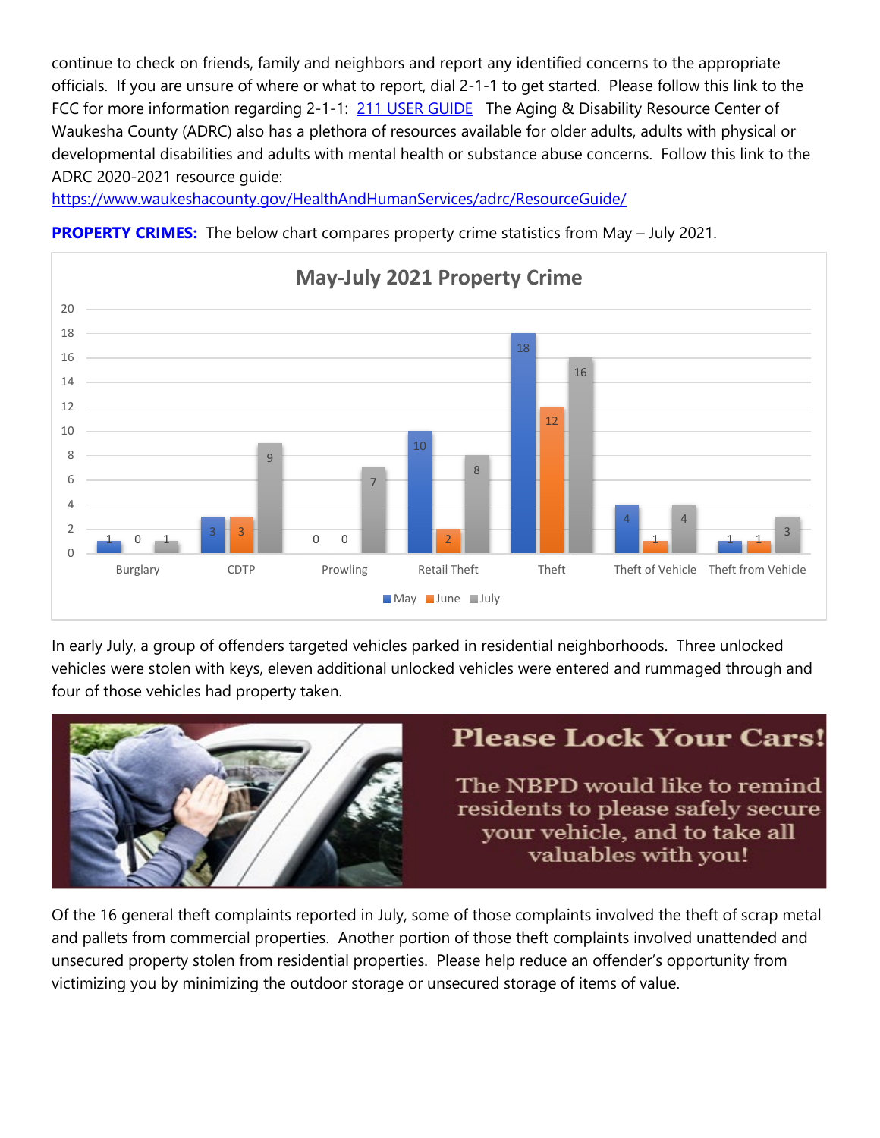continue to check on friends, family and neighbors and report any identified concerns to the appropriate officials. If you are unsure of where or what to report, dial 2-1-1 to get started. Please follow this link to the FCC for more information regarding 2-1-1: [211 USER GUIDE](https://www.fcc.gov/consumers/guides/dial-211-essential-community-services) The Aging & Disability Resource Center of Waukesha County (ADRC) also has a plethora of resources available for older adults, adults with physical or developmental disabilities and adults with mental health or substance abuse concerns. Follow this link to the ADRC 2020-2021 resource guide:

<https://www.waukeshacounty.gov/HealthAndHumanServices/adrc/ResourceGuide/>



**PROPERTY CRIMES:** The below chart compares property crime statistics from May – July 2021.

In early July, a group of offenders targeted vehicles parked in residential neighborhoods. Three unlocked vehicles were stolen with keys, eleven additional unlocked vehicles were entered and rummaged through and four of those vehicles had property taken.



Of the 16 general theft complaints reported in July, some of those complaints involved the theft of scrap metal and pallets from commercial properties. Another portion of those theft complaints involved unattended and unsecured property stolen from residential properties. Please help reduce an offender's opportunity from victimizing you by minimizing the outdoor storage or unsecured storage of items of value.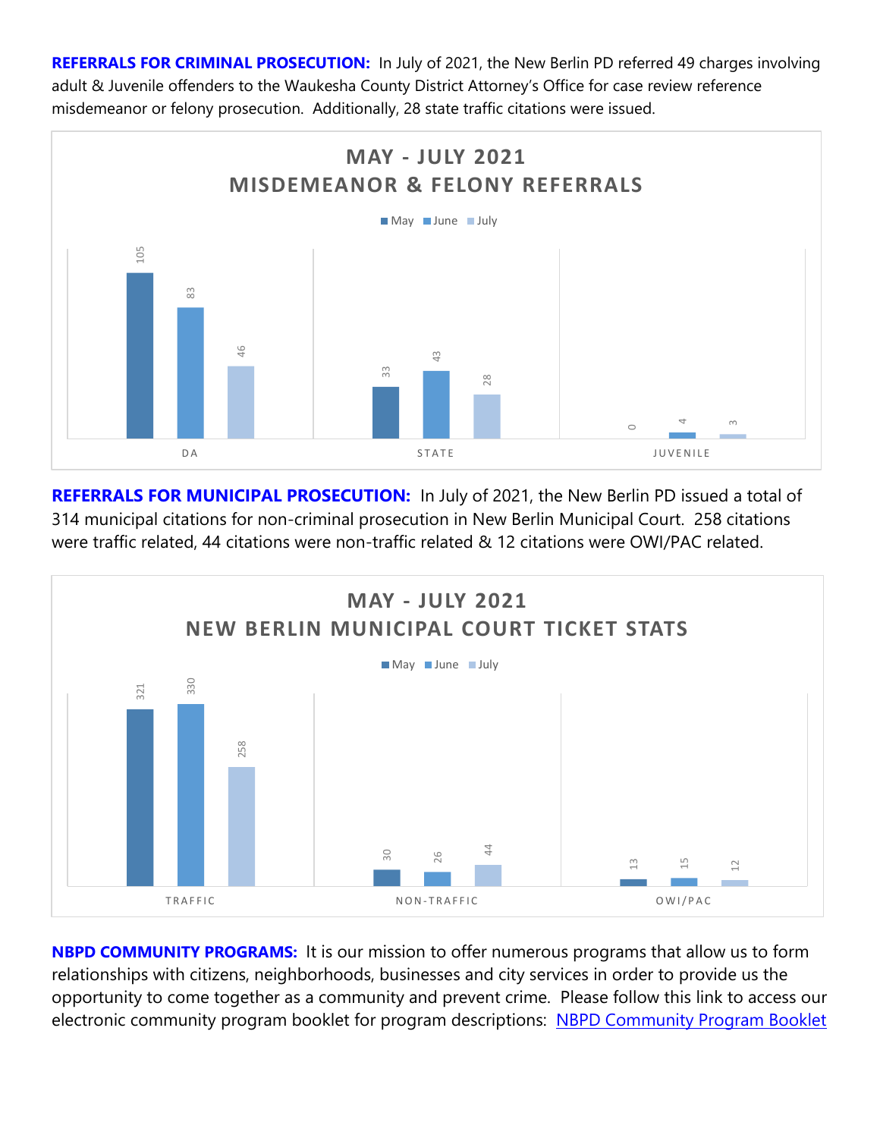**REFERRALS FOR CRIMINAL PROSECUTION:** In July of 2021, the New Berlin PD referred 49 charges involving adult & Juvenile offenders to the Waukesha County District Attorney's Office for case review reference misdemeanor or felony prosecution. Additionally, 28 state traffic citations were issued.



**REFERRALS FOR MUNICIPAL PROSECUTION:** In July of 2021, the New Berlin PD issued a total of 314 municipal citations for non-criminal prosecution in New Berlin Municipal Court. 258 citations were traffic related, 44 citations were non-traffic related & 12 citations were OWI/PAC related.



**NBPD COMMUNITY PROGRAMS:** It is our mission to offer numerous programs that allow us to form relationships with citizens, neighborhoods, businesses and city services in order to provide us the opportunity to come together as a community and prevent crime. Please follow this link to access our